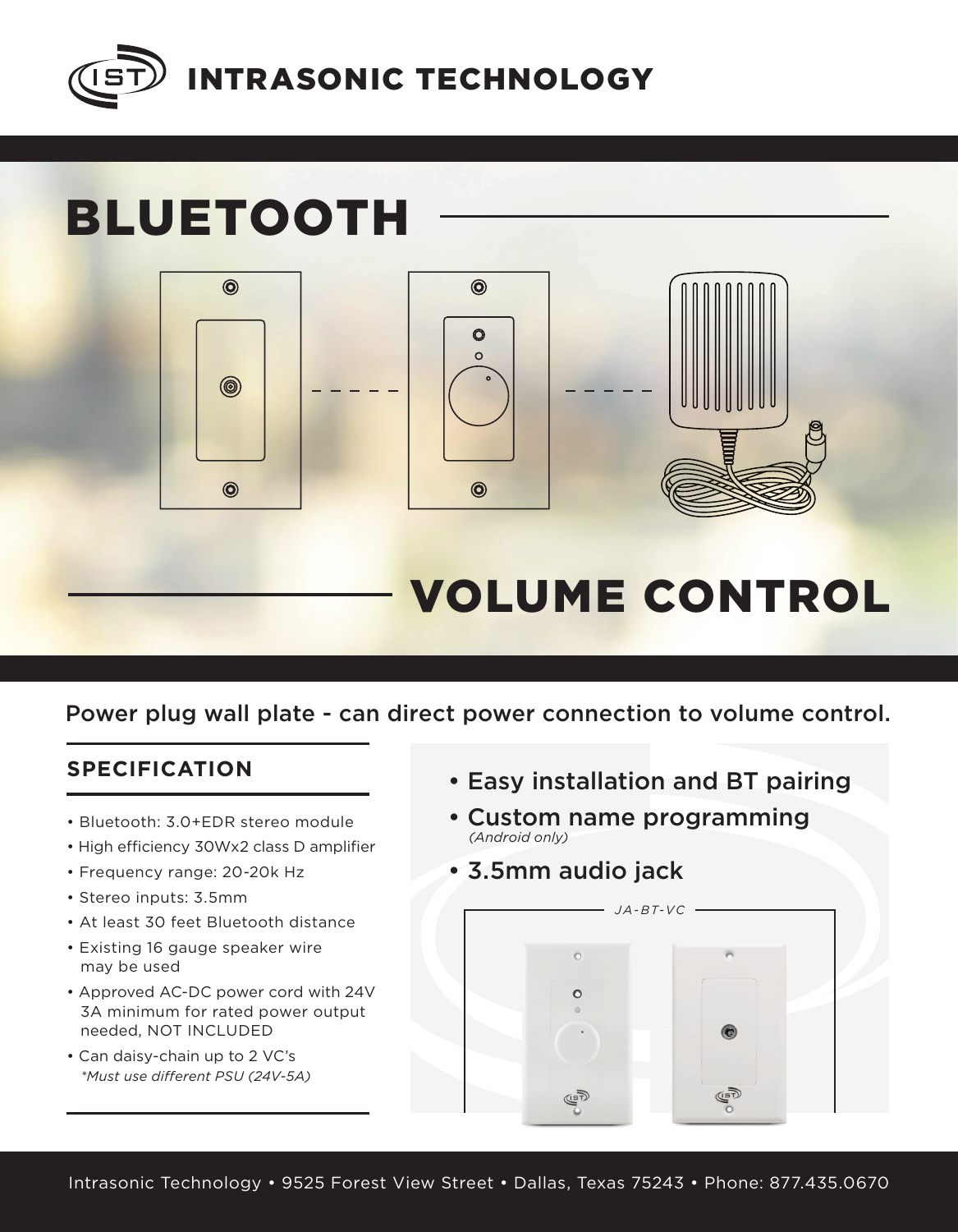

# BLUETOOTH



## VOLUME CONTROL

### Power plug wall plate - can direct power connection to volume control.

### **SPECIFICATION**

- Bluetooth: 3.0+EDR stereo module
- High efficiency 30Wx2 class D amplifier
- Frequency range: 20-20k Hz
- Stereo inputs: 3.5mm
- At least 30 feet Bluetooth distance
- Existing 16 gauge speaker wire may be used
- Approved AC-DC power cord with 24V 3A minimum for rated power output needed, NOT INCLUDED
- Can daisy-chain up to 2 VC's *\*Must use different PSU (24V-5A)*
- Easy installation and BT pairing
- Custom name programming *(Android only)*
- 3.5mm audio jack